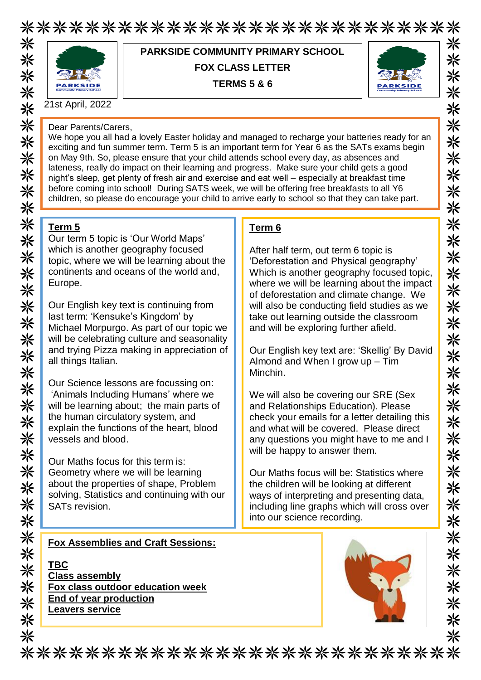\*\*\*\*\*\*\*\*\*\*\*\*\*\*\*\*\*\*\*\*\*\*\*\*\*\*\* 米



**PARKSIDE COMMUNITY PRIMARY SCHOOL FOX CLASS LETTER TERMS 5 & 6**



21st April, 2022

#### Dear Parents/Carers,

We hope you all had a lovely Easter holiday and managed to recharge your batteries ready for an exciting and fun summer term. Term 5 is an important term for Year 6 as the SATs exams begin on May 9th. So, please ensure that your child attends school every day, as absences and lateness, really do impact on their learning and progress. Make sure your child gets a good night's sleep, get plenty of fresh air and exercise and eat well – especially at breakfast time before coming into school! During SATS week, we will be offering free breakfasts to all Y6 children, so please do encourage your child to arrive early to school so that they can take part.

**Term 6**

Minchin.

After half term, out term 6 topic is

'Deforestation and Physical geography' Which is another geography focused topic, where we will be learning about the impact of deforestation and climate change. We will also be conducting field studies as we take out learning outside the classroom and will be exploring further afield.

Our English key text are: 'Skellig' By David

Almond and When I grow up – Tim

will be happy to answer them.

into our science recording.

We will also be covering our SRE (Sex and Relationships Education). Please check your emails for a letter detailing this and what will be covered. Please direct any questions you might have to me and I

Our Maths focus will be: Statistics where the children will be looking at different ways of interpreting and presenting data, including line graphs which will cross over

# **Term 5**

Our term 5 topic is 'Our World Maps' which is another geography focused topic, where we will be learning about the continents and oceans of the world and, Europe.

Our English key text is continuing from last term: 'Kensuke's Kingdom' by Michael Morpurgo. As part of our topic we will be celebrating culture and seasonality and trying Pizza making in appreciation of all things Italian.

Our Science lessons are focussing on: 'Animals Including Humans' where we will be learning about: the main parts of the human circulatory system, and explain the functions of the heart, blood vessels and blood.

Our Maths focus for this term is: Geometry where we will be learning about the properties of shape, Problem solving, Statistics and continuing with our SATs revision.

## **Fox Assemblies and Craft Sessions:**

**TBC Class assembly Fox class outdoor education week End of year production Leavers service**



\*\*\*\*\*\*\*\*\*\*\*\*\*\*\*\*\*\*\*\*\*\*\*\*\*\*\*



米